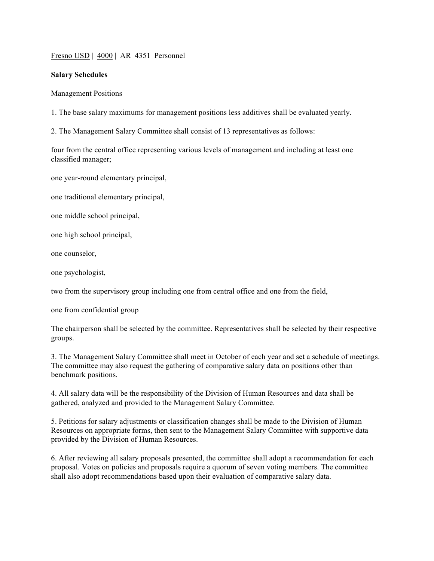Fresno USD | 4000 | AR 4351 Personnel

## **Salary Schedules**

Management Positions

1. The base salary maximums for management positions less additives shall be evaluated yearly.

2. The Management Salary Committee shall consist of 13 representatives as follows:

four from the central office representing various levels of management and including at least one classified manager;

one year-round elementary principal,

one traditional elementary principal,

one middle school principal,

one high school principal,

one counselor,

one psychologist,

two from the supervisory group including one from central office and one from the field,

one from confidential group

The chairperson shall be selected by the committee. Representatives shall be selected by their respective groups.

3. The Management Salary Committee shall meet in October of each year and set a schedule of meetings. The committee may also request the gathering of comparative salary data on positions other than benchmark positions.

4. All salary data will be the responsibility of the Division of Human Resources and data shall be gathered, analyzed and provided to the Management Salary Committee.

5. Petitions for salary adjustments or classification changes shall be made to the Division of Human Resources on appropriate forms, then sent to the Management Salary Committee with supportive data provided by the Division of Human Resources.

6. After reviewing all salary proposals presented, the committee shall adopt a recommendation for each proposal. Votes on policies and proposals require a quorum of seven voting members. The committee shall also adopt recommendations based upon their evaluation of comparative salary data.